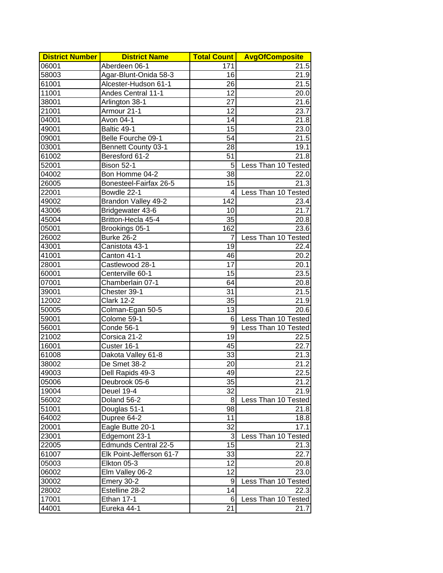| <b>District Number</b> | <b>District Name</b>       | <b>Total Count</b> | <b>AvgOfComposite</b> |
|------------------------|----------------------------|--------------------|-----------------------|
| 06001                  | Aberdeen 06-1              | 171                | 21.5                  |
| 58003                  | Agar-Blunt-Onida 58-3      | 16                 | 21.9                  |
| 61001                  | Alcester-Hudson 61-1       | 26                 | 21.5                  |
| 11001                  | Andes Central 11-1         | 12                 | 20.0                  |
| 38001                  | Arlington 38-1             | 27                 | 21.6                  |
| 21001                  | Armour 21-1                | 12                 | 23.7                  |
| 04001                  | Avon 04-1                  | 14                 | 21.8                  |
| 49001                  | Baltic 49-1                | 15                 | 23.0                  |
| 09001                  | Belle Fourche 09-1         | 54                 | 21.5                  |
| 03001                  | <b>Bennett County 03-1</b> | 28                 | 19.1                  |
| 61002                  | Beresford 61-2             | 51                 | 21.8                  |
| 52001                  | Bison 52-1                 | 5                  | Less Than 10 Tested   |
| 04002                  | Bon Homme 04-2             | 38                 | 22.0                  |
| 26005                  | Bonesteel-Fairfax 26-5     | 15                 | 21.3                  |
| 22001                  | Bowdle 22-1                | 4                  | Less Than 10 Tested   |
| 49002                  | Brandon Valley 49-2        | 142                | 23.4                  |
| 43006                  | Bridgewater 43-6           | 10                 | 21.7                  |
| 45004                  | Britton-Hecla 45-4         | 35                 | 20.8                  |
| 05001                  | Brookings 05-1             | 162                | 23.6                  |
| 26002                  | <b>Burke 26-2</b>          | 7                  | Less Than 10 Tested   |
| 43001                  | Canistota 43-1             | 19                 | 22.4                  |
| 41001                  | Canton 41-1                | 46                 | 20.2                  |
| 28001                  | Castlewood 28-1            | 17                 | 20.1                  |
| 60001                  | Centerville 60-1           | 15                 | 23.5                  |
| 07001                  | Chamberlain 07-1           | 64                 | 20.8                  |
| 39001                  | Chester 39-1               | 31                 | 21.5                  |
| 12002                  | <b>Clark 12-2</b>          | 35                 | 21.9                  |
| 50005                  | Colman-Egan 50-5           | 13                 | 20.6                  |
| 59001                  | Colome 59-1                | 6                  | Less Than 10 Tested   |
| 56001                  | Conde 56-1                 | 9                  | Less Than 10 Tested   |
| 21002                  | Corsica 21-2               | 19                 | 22.5                  |
| 16001                  | Custer 16-1                | 45                 | 22.7                  |
| 61008                  | Dakota Valley 61-8         | 33                 | 21.3                  |
| 38002                  | De Smet 38-2               | 20                 | 21.2                  |
| 49003                  | Dell Rapids 49-3           | 49                 | 22.5                  |
| 05006                  | Deubrook 05-6              | 35                 | 21.2                  |
| 19004                  | Deuel 19-4                 | 32                 | 21.9                  |
| 56002                  | Doland 56-2                | 8                  | Less Than 10 Tested   |
| 51001                  | Douglas 51-1               | 98                 | 21.8                  |
| 64002                  | Dupree 64-2                | 11                 | 18.8                  |
|                        | Eagle Butte 20-1           | 32                 | 17.1                  |
| 20001                  |                            |                    |                       |
| 23001                  | Edgemont 23-1              | 3<br>15            | Less Than 10 Tested   |
| 22005                  | Edmunds Central 22-5       |                    | 21.3                  |
| 61007                  | Elk Point-Jefferson 61-7   | 33                 | 22.7                  |
| 05003                  | Elkton 05-3                | 12                 | 20.8                  |
| 06002                  | Elm Valley 06-2            | 12                 | 23.0                  |
| 30002                  | Emery 30-2                 | 9                  | Less Than 10 Tested   |
| 28002                  | Estelline 28-2             | 14                 | 22.3                  |
| 17001                  | Ethan 17-1                 | 6                  | Less Than 10 Tested   |
| 44001                  | Eureka 44-1                | $\overline{2}1$    | 21.7                  |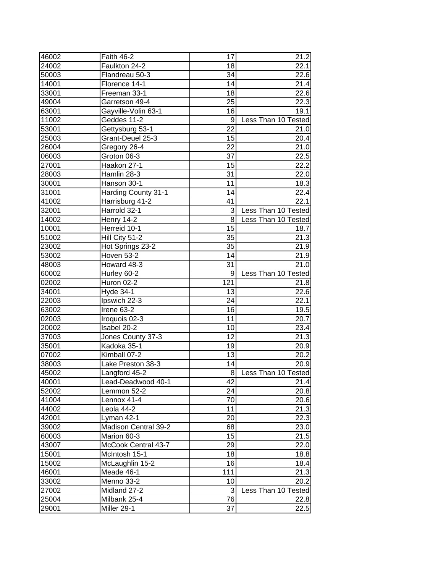| 46002          | Faith 46-2                | 17              | 21.2                       |
|----------------|---------------------------|-----------------|----------------------------|
| 24002          | Faulkton 24-2             | 18              | 22.1                       |
| 50003          | Flandreau 50-3            | 34              | 22.6                       |
| 14001          | Florence 14-1             | 14              | 21.4                       |
| 33001          | Freeman 33-1              | 18              | 22.6                       |
| 49004          | Garretson 49-4            | 25              | 22.3                       |
| 63001          | Gayville-Volin 63-1       | 16              | 19.1                       |
| 11002          | Geddes 11-2               | 9               | Less Than 10 Tested        |
| 53001          | Gettysburg 53-1           | 22              | 21.0                       |
| 25003          | Grant-Deuel 25-3          | 15              | 20.4                       |
| 26004          | Gregory 26-4              | 22              | 21.0                       |
| 06003          | Groton 06-3               | 37              | 22.5                       |
| 27001          | Haakon 27-1               | $\overline{15}$ | 22.2                       |
| 28003          | Hamlin 28-3               | 31              | 22.0                       |
| 30001          | Hanson 30-1               | 11              | 18.3                       |
| 31001          | Harding County 31-1       | 14              | 22.4                       |
| 41002          | Harrisburg 41-2           | 41              | 22.1                       |
| 32001          | Harrold 32-1              | 3               | Less Than 10 Tested        |
| 14002          | Henry 14-2                | 8               | Less Than 10 Tested        |
| 10001          | Herreid 10-1              | 15              | 18.7                       |
| 51002          | Hill City 51-2            | 35              | 21.3                       |
| 23002          | Hot Springs 23-2          | 35              | 21.9                       |
| 53002          | Hoven 53-2                | 14              | 21.9                       |
| 48003          |                           | 31              | 21.0                       |
|                | Howard 48-3               | 9               |                            |
| 60002          | Hurley 60-2<br>Huron 02-2 | 121             | Less Than 10 Tested        |
| 02002<br>34001 |                           | 13              | 21.8<br>$\overline{2}$ 2.6 |
|                | Hyde 34-1                 | 24              | 22.1                       |
| 22003          | Ipswich 22-3              | 16              |                            |
| 63002          | Irene 63-2                | 11              | 19.5<br>20.7               |
| 02003          | Iroquois 02-3             |                 |                            |
| 20002          | Isabel 20-2               | 10<br>12        | 23.4                       |
| 37003          | Jones County 37-3         | 19              | 21.3<br>20.9               |
| 35001          | Kadoka 35-1               | $\overline{1}3$ | 20.2                       |
| 07002          | Kimball 07-2              | 14              | 20.9                       |
| 38003          | Lake Preston 38-3         |                 |                            |
| 45002          | Langford 45-2             | 8               | Less Than 10 Tested        |
| 40001          | Lead-Deadwood 40-1        | 42<br>24        | 21.4<br>20.8               |
| 52002          | Lemmon 52-2               |                 |                            |
| 41004          | Lennox 41-4               | 70              | 20.6                       |
| 44002          | Leola 44-2                | 11              | 21.3                       |
| 42001          | Lyman 42-1                | 20              | 22.3                       |
| 39002          | Madison Central 39-2      | 68              | 23.0                       |
| 60003          | Marion 60-3               | 15              | 21.5                       |
| 43007          | McCook Central 43-7       | 29              | 22.0                       |
| 15001          | McIntosh 15-1             | 18              | 18.8                       |
| 15002          | McLaughlin 15-2           | 16              | 18.4                       |
| 46001          | Meade 46-1                | 111             | 21.3                       |
| 33002          | Menno 33-2                | 10              | 20.2                       |
| 27002          | Midland 27-2              | 3               | Less Than 10 Tested        |
| 25004          | Milbank 25-4              | 76              | 22.8                       |
| 29001          | Miller 29-1               | $\overline{37}$ | 22.5                       |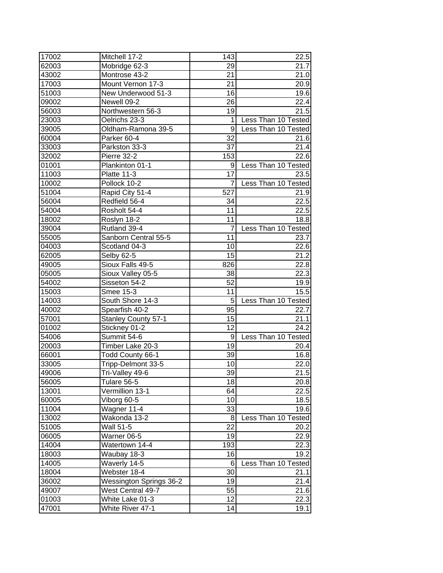| 17002 | Mitchell 17-2                  | 143             | 22.5                |
|-------|--------------------------------|-----------------|---------------------|
| 62003 | Mobridge 62-3                  | 29              | 21.7                |
| 43002 | Montrose 43-2                  | 21              | 21.0                |
| 17003 | Mount Vernon 17-3              | 21              | 20.9                |
| 51003 | New Underwood 51-3             | 16              | 19.6                |
| 09002 | Newell 09-2                    | 26              | 22.4                |
| 56003 | Northwestern 56-3              | 19              | 21.5                |
| 23003 | Oelrichs 23-3                  | 1               | Less Than 10 Tested |
| 39005 | Oldham-Ramona 39-5             | 9               | Less Than 10 Tested |
| 60004 | Parker 60-4                    | 32              | 21.6                |
| 33003 | Parkston 33-3                  | 37              | 21.4                |
| 32002 | Pierre 32-2                    | 153             | 22.6                |
| 01001 | Plankinton 01-1                | 9               | Less Than 10 Tested |
| 11003 | Platte 11-3                    | 17              | 23.5                |
| 10002 | Pollock 10-2                   | 7               | Less Than 10 Tested |
| 51004 | Rapid City 51-4                | 527             | 21.9                |
| 56004 | Redfield 56-4                  | 34              | 22.5                |
| 54004 | Rosholt 54-4                   | 11              | 22.5                |
| 18002 | Roslyn 18-2                    | 11              | 18.8                |
| 39004 | Rutland 39-4                   |                 | Less Than 10 Tested |
| 55005 | Sanborn Central 55-5           | 11              | 23.7                |
| 04003 | Scotland 04-3                  | 10              | 22.6                |
| 62005 | Selby 62-5                     | 15              | 21.2                |
| 49005 | Sioux Falls 49-5               | 826             | 22.8                |
| 05005 | Sioux Valley 05-5              | 38              | 22.3                |
| 54002 | Sisseton 54-2                  | 52              | 19.9                |
| 15003 | Smee 15-3                      | 11              | 15.5                |
| 14003 | South Shore 14-3               | 5               | Less Than 10 Tested |
| 40002 | Spearfish 40-2                 | 95              | 22.7                |
| 57001 | <b>Stanley County 57-1</b>     | 15              | 21.1                |
| 01002 | Stickney 01-2                  | 12              | 24.2                |
| 54006 | Summit 54-6                    | 9               | Less Than 10 Tested |
| 20003 | Timber Lake 20-3               | 19              | 20.4                |
| 66001 | Todd County 66-1               | 39              | 16.8                |
| 33005 | Tripp-Delmont 33-5             | 10              | $\overline{2}2.0$   |
| 49006 | Tri-Valley 49-6                | $\overline{39}$ | 21.5                |
| 56005 | Tulare 56-5                    | 18              | 20.8                |
| 13001 | Vermillion 13-1                | 64              | 22.5                |
| 60005 | Viborg 60-5                    | 10              | 18.5                |
| 11004 | Wagner 11-4                    | 33              | 19.6                |
| 13002 | Wakonda 13-2                   | 8               | Less Than 10 Tested |
| 51005 | Wall 51-5                      | 22              | 20.2                |
| 06005 | Warner 06-5                    | 19              | 22.9                |
| 14004 | Watertown 14-4                 | 193             |                     |
|       |                                | 16              | 22.3                |
| 18003 | Waubay 18-3                    |                 | 19.2                |
| 14005 | Waverly 14-5                   | 6               | Less Than 10 Tested |
| 18004 | Webster 18-4                   | 30              | 21.1                |
| 36002 | <b>Wessington Springs 36-2</b> | 19              | 21.4                |
| 49007 | West Central 49-7              | 55              | 21.6                |
| 01003 | White Lake 01-3                | 12              | 22.3                |
| 47001 | <b>White River 47-1</b>        | $\overline{14}$ | 19.1                |